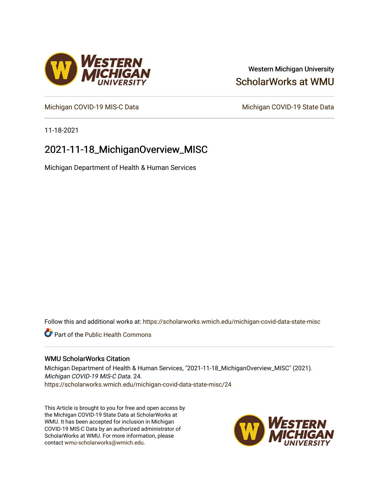## Western Michigan University [ScholarWorks at WMU](https://scholarworks.wmich.edu/)

[Michigan COVID-19 MIS-C Data](https://scholarworks.wmich.edu/michigan-covid-data-state-misc) Michigan COVID-19 State Data

11-18-2021

## 2021-11-18\_MichiganOverview\_MISC

Michigan Department of Health & Human Services

Follow this and additional works at: [https://scholarworks.wmich.edu/michigan-covid-data-state-misc](https://scholarworks.wmich.edu/michigan-covid-data-state-misc?utm_source=scholarworks.wmich.edu%2Fmichigan-covid-data-state-misc%2F24&utm_medium=PDF&utm_campaign=PDFCoverPages) 

**Part of the Public Health Commons** 

#### WMU ScholarWorks Citation

Michigan Department of Health & Human Services, "2021-11-18\_MichiganOverview\_MISC" (2021). Michigan COVID-19 MIS-C Data. 24. [https://scholarworks.wmich.edu/michigan-covid-data-state-misc/24](https://scholarworks.wmich.edu/michigan-covid-data-state-misc/24?utm_source=scholarworks.wmich.edu%2Fmichigan-covid-data-state-misc%2F24&utm_medium=PDF&utm_campaign=PDFCoverPages)

This Article is brought to you for free and open access by the Michigan COVID-19 State Data at ScholarWorks at WMU. It has been accepted for inclusion in Michigan COVID-19 MIS-C Data by an authorized administrator of ScholarWorks at WMU. For more information, please contact [wmu-scholarworks@wmich.edu](mailto:wmu-scholarworks@wmich.edu).